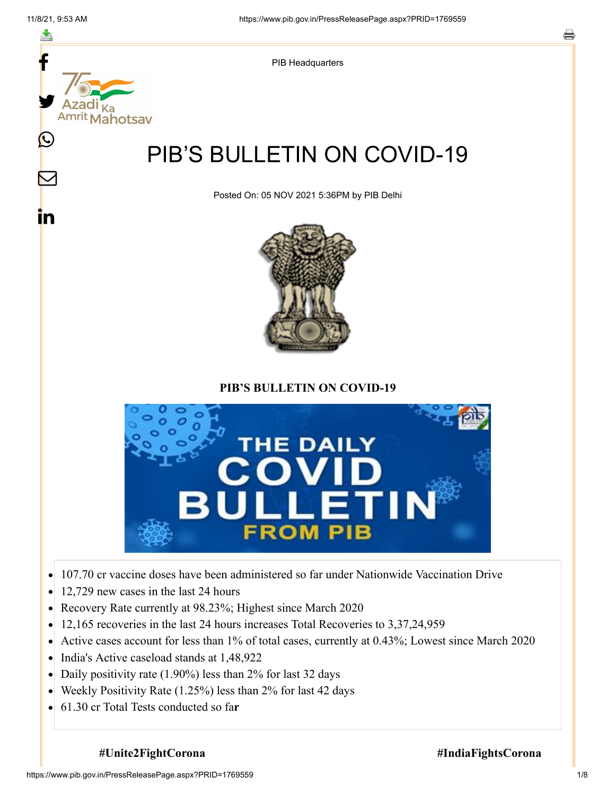≛

 $\bm{\mathcal{Q}}$ 

 $\bm{\nabla}$ 

<u>in</u>



PIB Headquarters

# PIB'S BULLETIN ON COVID-19

Posted On: 05 NOV 2021 5:36PM by PIB Delhi



### **PIB'S BULLETIN ON COVID-19**



- 107.70 cr vaccine doses have been administered so far under Nationwide Vaccination Drive  $\bullet$
- 12,729 new cases in the last 24 hours  $\bullet$
- Recovery Rate currently at 98.23%; Highest since March 2020
- 12,165 recoveries in the last 24 hours increases Total Recoveries to 3,37,24,959  $\bullet$
- Active cases account for less than 1% of total cases, currently at 0.43%; Lowest since March 2020
- India's Active caseload stands at 1,48,922
- Daily positivity rate (1.90%) less than 2% for last 32 days  $\bullet$
- Weekly Positivity Rate (1.25%) less than 2% for last 42 days  $\bullet$
- 61.30 cr Total Tests conducted so fa**r**  $\bullet$

**#Unite2FightCorona #IndiaFightsCorona**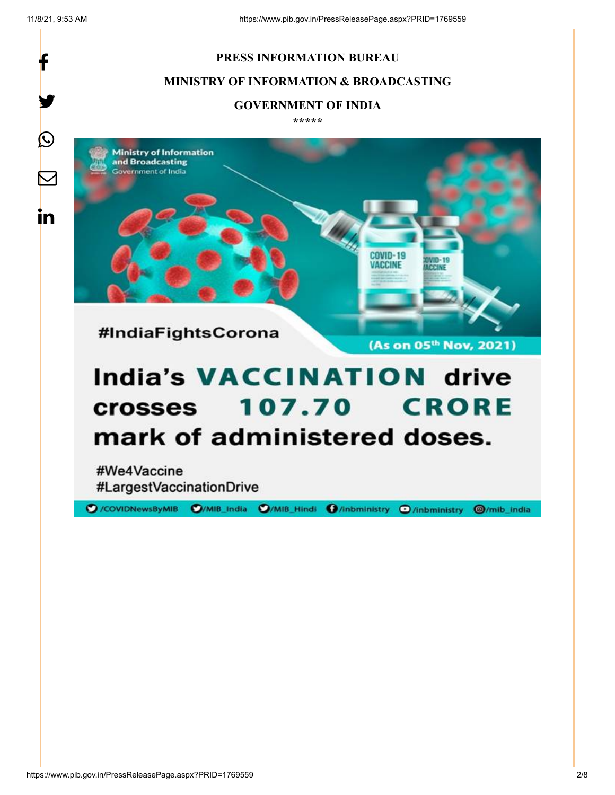f

y.

 $\bigcirc$ 

 $\sum$ 

in

### **PRESS INFORMATION BUREAU**

### **MINISTRY OF INFORMATION & BROADCASTING**

### **GOVERNMENT OF INDIA**

**\*\*\*\*\***



## **India's VACCINATION drive 107.70 CRORE crosses** mark of administered doses.

#We4Vaccine #LargestVaccinationDrive

O/COVIDNewsByMIB O/MIB\_India O/MIB\_Hindi O/inbministry O/inbministry O/mib\_india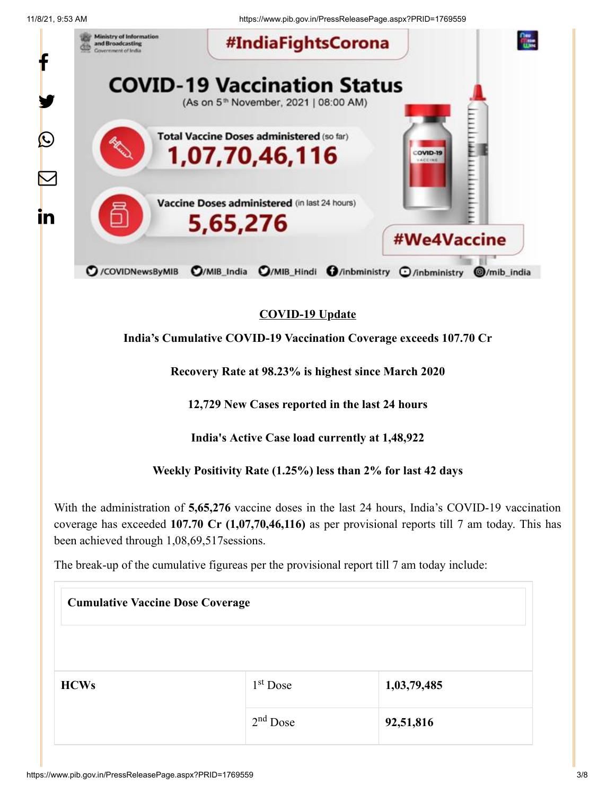11/8/21, 9:53 AM https://www.pib.gov.in/PressReleasePage.aspx?PRID=1769559



### **COVID-19 Update**

**India's Cumulative COVID-19 Vaccination Coverage exceeds 107.70 Cr**

**Recovery Rate at 98.23% is highest since March 2020**

**12,729 New Cases reported in the last 24 hours**

**India's Active Case load currently at 1,48,922**

**Weekly Positivity Rate (1.25%) less than 2% for last 42 days**

With the administration of **5,65,276** vaccine doses in the last 24 hours, India's COVID-19 vaccination coverage has exceeded **107.70 Cr (1,07,70,46,116)** as per provisional reports till 7 am today. This has been achieved through 1,08,69,517sessions.

The break-up of the cumulative figureas per the provisional report till 7 am today include:

| <b>Cumulative Vaccine Dose Coverage</b> |            |             |  |
|-----------------------------------------|------------|-------------|--|
| <b>HCWs</b>                             | $1st$ Dose | 1,03,79,485 |  |
|                                         | $2nd$ Dose | 92,51,816   |  |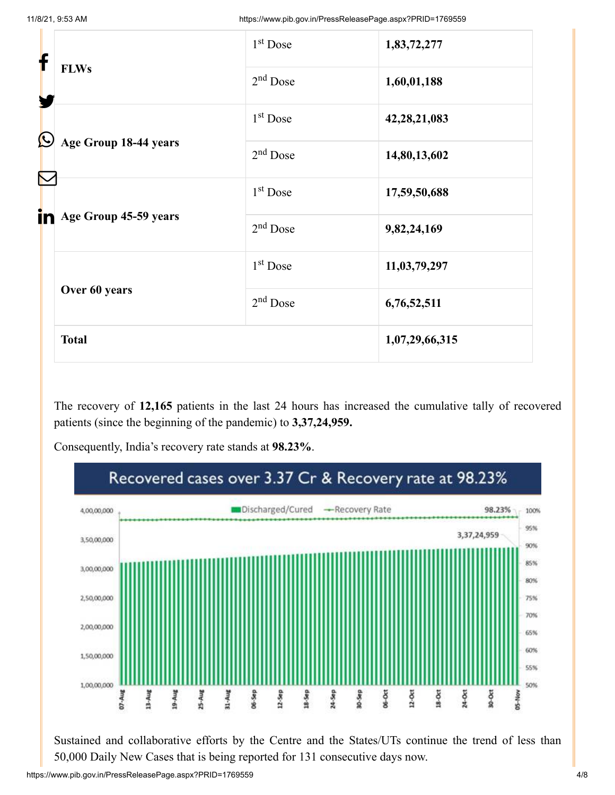| f          |                                 | $1st$ Dose           | 1,83,72,277    |
|------------|---------------------------------|----------------------|----------------|
|            | <b>FLWs</b>                     | $2nd$ Dose           | 1,60,01,188    |
| $\bigcirc$ | Age Group 18-44 years           | $1st$ Dose           | 42,28,21,083   |
|            |                                 | 2 <sup>nd</sup> Dose | 14,80,13,602   |
|            |                                 | $1st$ Dose           | 17,59,50,688   |
|            | <b>in</b> Age Group 45-59 years | $2nd$ Dose           | 9,82,24,169    |
|            | Over 60 years                   | $1st$ Dose           | 11,03,79,297   |
|            |                                 | $2nd$ Dose           | 6,76,52,511    |
|            | <b>Total</b>                    |                      | 1,07,29,66,315 |
|            |                                 |                      |                |

The recovery of **12,165** patients in the last 24 hours has increased the cumulative tally of recovered patients (since the beginning of the pandemic) to **3,37,24,959.**



Consequently, India's recovery rate stands at **98.23%**.

Sustained and collaborative efforts by the Centre and the States/UTs continue the trend of less than 50,000 Daily New Cases that is being reported for 131 consecutive days now.

https://www.pib.gov.in/PressReleasePage.aspx?PRID=1769559 4/8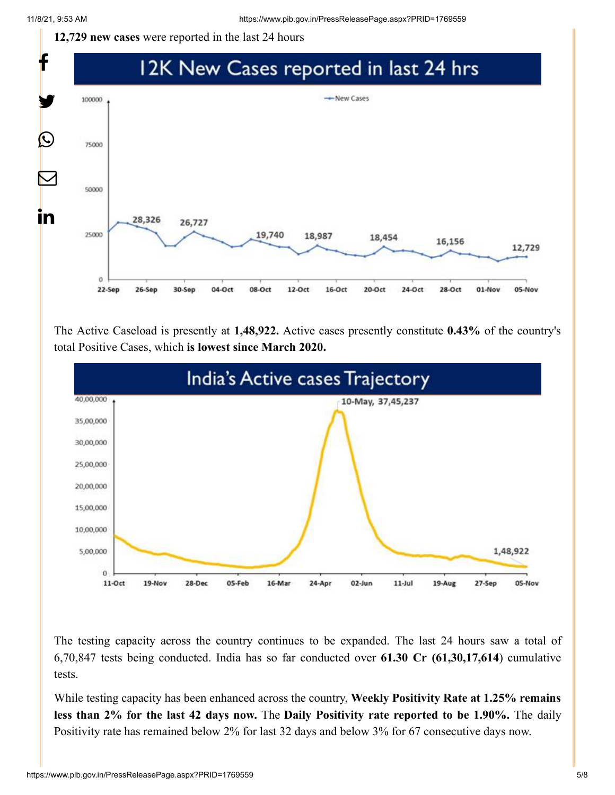**12,729 new cases** were reported in the last 24 hours



The Active Caseload is presently at **1,48,922.** Active cases presently constitute **0.43%** of the country's total Positive Cases, which **is lowest since March 2020.**



The testing capacity across the country continues to be expanded. The last 24 hours saw a total of 6,70,847 tests being conducted. India has so far conducted over **61.30 Cr (61,30,17,614**) cumulative tests.

While testing capacity has been enhanced across the country, **Weekly Positivity Rate at 1.25% remains less than 2% for the last 42 days now.** The **Daily Positivity rate reported to be 1.90%.** The daily Positivity rate has remained below 2% for last 32 days and below 3% for 67 consecutive days now.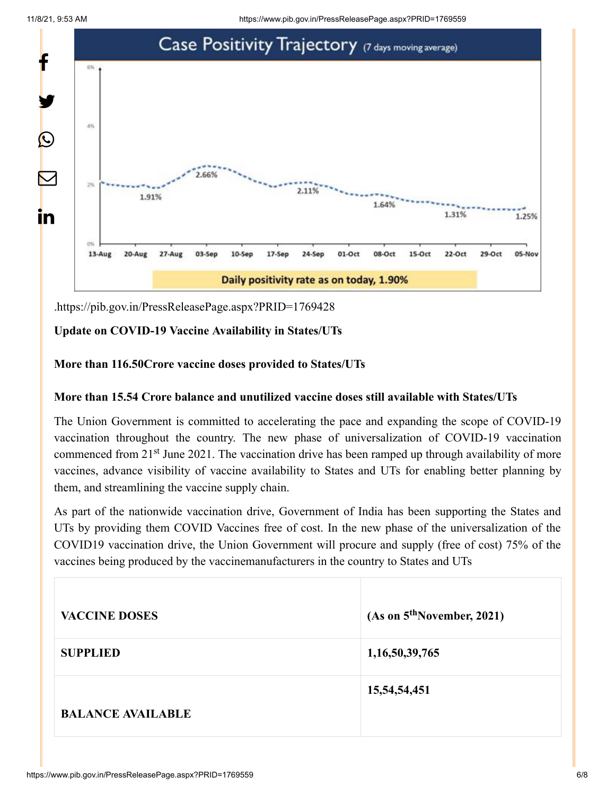11/8/21, 9:53 AM https://www.pib.gov.in/PressReleasePage.aspx?PRID=1769559



.<https://pib.gov.in/PressReleasePage.aspx?PRID=1769428>

### **Update on COVID-19 Vaccine Availability in States/UTs**

### **More than 116.50Crore vaccine doses provided to States/UTs**

### **More than 15.54 Crore balance and unutilized vaccine doses still available with States/UTs**

The Union Government is committed to accelerating the pace and expanding the scope of COVID-19 vaccination throughout the country. The new phase of universalization of COVID-19 vaccination commenced from 21<sup>st</sup> June 2021. The vaccination drive has been ramped up through availability of more vaccines, advance visibility of vaccine availability to States and UTs for enabling better planning by them, and streamlining the vaccine supply chain.

As part of the nationwide vaccination drive, Government of India has been supporting the States and UTs by providing them COVID Vaccines free of cost. In the new phase of the universalization of the COVID19 vaccination drive, the Union Government will procure and supply (free of cost) 75% of the vaccines being produced by the vaccinemanufacturers in the country to States and UTs

| <b>VACCINE DOSES</b>     | (As on 5 <sup>th</sup> November, 2021) |
|--------------------------|----------------------------------------|
| <b>SUPPLIED</b>          | 1,16,50,39,765                         |
| <b>BALANCE AVAILABLE</b> | 15,54,54,451                           |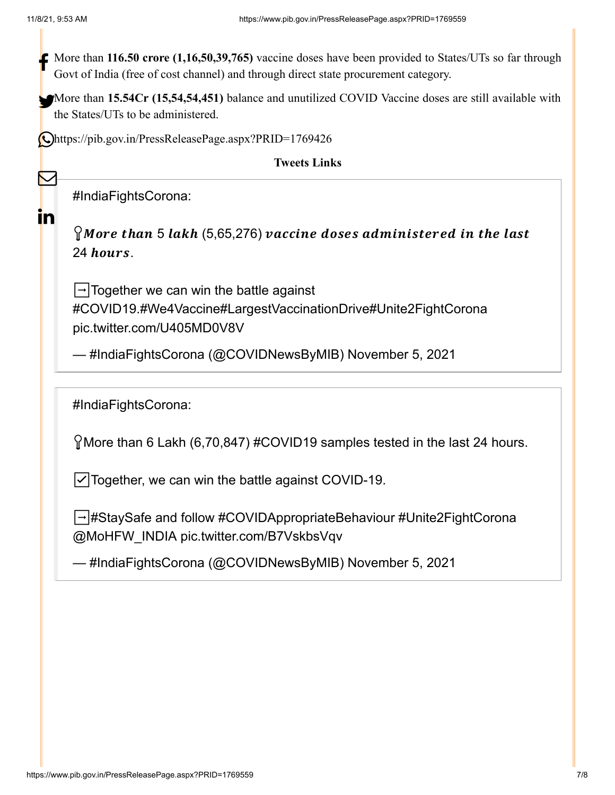$\bf \nabla$ 

 $\mathbf{m}$ 

More than **116.50 crore (1,16,50,39,765)** vaccine doses have been provided to States/UTs so far through  $\frac{1}{2}$ Govt of India (free of cost channel) and through direct state procurement category.

More than **15.54Cr (15,54,54,451)** balance and unutilized COVID Vaccine doses are still available with the States/UTs to be administered.

<https://pib.gov.in/PressReleasePage.aspx?PRID=1769426>

**Tweets Links**

[#IndiaFightsCorona](https://twitter.com/hashtag/IndiaFightsCorona?src=hash&ref_src=twsrc%5Etfw):

 $\Omega$ More than 5 lakh (5,65,276) vaccine doses administered in the last 24 hours.

 $\rightarrow$  Together we can win the battle against [#COVID19](https://twitter.com/hashtag/COVID19?src=hash&ref_src=twsrc%5Etfw)[.#We4Vaccine](https://twitter.com/hashtag/We4Vaccine?src=hash&ref_src=twsrc%5Etfw)[#LargestVaccinationDrive](https://twitter.com/hashtag/LargestVaccinationDrive?src=hash&ref_src=twsrc%5Etfw)[#Unite2FightCorona](https://twitter.com/hashtag/Unite2FightCorona?src=hash&ref_src=twsrc%5Etfw) [pic.twitter.com/U405MD0V8V](https://t.co/U405MD0V8V)

— #IndiaFightsCorona (@COVIDNewsByMIB) [November 5, 2021](https://twitter.com/COVIDNewsByMIB/status/1456540582231220226?ref_src=twsrc%5Etfw)

[#IndiaFightsCorona](https://twitter.com/hashtag/IndiaFightsCorona?src=hash&ref_src=twsrc%5Etfw):

 $\gamma$  More than 6 Lakh (6,70,847) [#COVID19](https://twitter.com/hashtag/COVID19?src=hash&ref_src=twsrc%5Etfw) samples tested in the last 24 hours.

☑️Together, we can win the battle against COVID-19.

➡️[#StaySafe](https://twitter.com/hashtag/StaySafe?src=hash&ref_src=twsrc%5Etfw) and follow [#COVIDAppropriateBehaviour](https://twitter.com/hashtag/COVIDAppropriateBehaviour?src=hash&ref_src=twsrc%5Etfw) [#Unite2FightCorona](https://twitter.com/hashtag/Unite2FightCorona?src=hash&ref_src=twsrc%5Etfw) [@MoHFW\\_INDIA](https://twitter.com/MoHFW_INDIA?ref_src=twsrc%5Etfw) [pic.twitter.com/B7VskbsVqv](https://t.co/B7VskbsVqv)

— #IndiaFightsCorona (@COVIDNewsByMIB) [November 5, 2021](https://twitter.com/COVIDNewsByMIB/status/1456568548860604419?ref_src=twsrc%5Etfw)